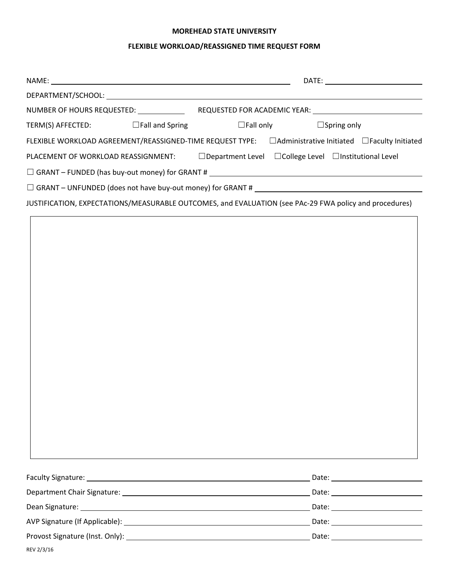#### **MOREHEAD STATE UNIVERSITY**

# **FLEXIBLE WORKLOAD/REASSIGNED TIME REQUEST FORM**

|                                                                                                                |  | DATE: ________________________ |                                        |  |  |
|----------------------------------------------------------------------------------------------------------------|--|--------------------------------|----------------------------------------|--|--|
|                                                                                                                |  |                                |                                        |  |  |
| NUMBER OF HOURS REQUESTED: NUMBER OF HOURS REQUESTED:                                                          |  |                                |                                        |  |  |
| $TERM(S)$ AFFECTED: $\Box$ Fall and Spring                                                                     |  |                                | $\Box$ Fall only<br>$\Box$ Spring only |  |  |
| FLEXIBLE WORKLOAD AGREEMENT/REASSIGNED-TIME REQUEST TYPE: □ Administrative Initiated □ Faculty Initiated       |  |                                |                                        |  |  |
| $\Box$ Department Level $\Box$ College Level $\Box$ Institutional Level<br>PLACEMENT OF WORKLOAD REASSIGNMENT: |  |                                |                                        |  |  |
| $\Box$ GRANT - FUNDED (has buy-out money) for GRANT # $\_\_\_\_\_\_\_\_\_\_\_$                                 |  |                                |                                        |  |  |
| $\Box$ GRANT – UNFUNDED (does not have buy-out money) for GRANT #                                              |  |                                |                                        |  |  |
| JUSTIFICATION, EXPECTATIONS/MEASURABLE OUTCOMES, and EVALUATION (see PAc-29 FWA policy and procedures)         |  |                                |                                        |  |  |
|                                                                                                                |  |                                |                                        |  |  |

| <b>Faculty Signature:</b> | Date:                                                                                                                                                                                                                          |
|---------------------------|--------------------------------------------------------------------------------------------------------------------------------------------------------------------------------------------------------------------------------|
|                           |                                                                                                                                                                                                                                |
|                           | Date: the contract of the contract of the contract of the contract of the contract of the contract of the contract of the contract of the contract of the contract of the contract of the contract of the contract of the cont |
|                           | Date: the contract of the contract of the contract of the contract of the contract of the contract of the contract of the contract of the contract of the contract of the contract of the contract of the contract of the cont |
|                           | Date:                                                                                                                                                                                                                          |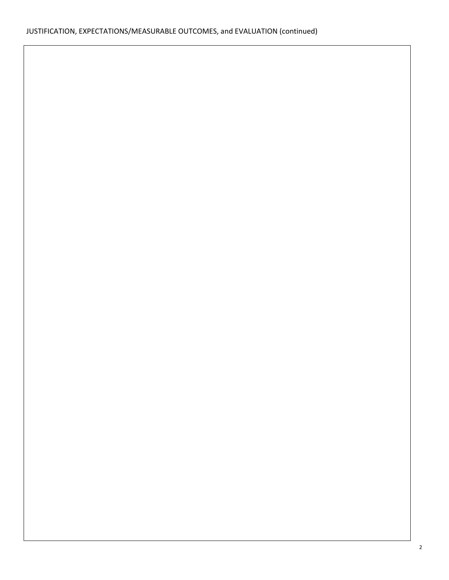# JUSTIFICATION, EXPECTATIONS/MEASURABLE OUTCOMES, and EVALUATION (continued)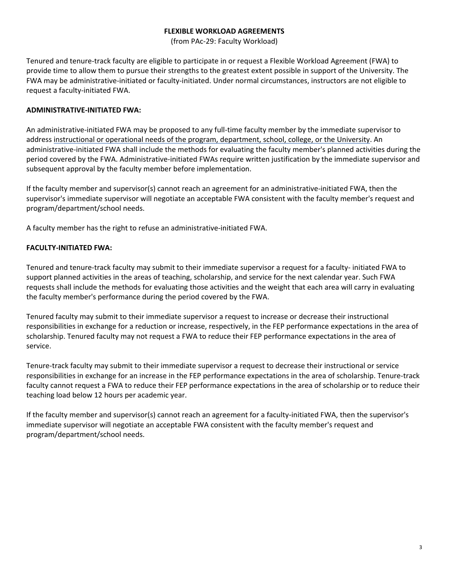### **FLEXIBLE WORKLOAD AGREEMENTS**

(from PAc‐29: Faculty Workload)

Tenured and tenure‐track faculty are eligible to participate in or request a Flexible Workload Agreement (FWA) to provide time to allow them to pursue their strengths to the greatest extent possible in support of the University. The FWA may be administrative-initiated or faculty-initiated. Under normal circumstances, instructors are not eligible to request a faculty‐initiated FWA.

## **ADMINISTRATIVE‐INITIATED FWA:**

An administrative‐initiated FWA may be proposed to any full‐time faculty member by the immediate supervisor to address instructional or operational needs of the program, department, school, college, or the University. An administrative-initiated FWA shall include the methods for evaluating the faculty member's planned activities during the period covered by the FWA. Administrative‐initiated FWAs require written justification by the immediate supervisor and subsequent approval by the faculty member before implementation.

If the faculty member and supervisor(s) cannot reach an agreement for an administrative‐initiated FWA, then the supervisor's immediate supervisor will negotiate an acceptable FWA consistent with the faculty member's request and program/department/school needs.

A faculty member has the right to refuse an administrative‐initiated FWA.

# **FACULTY‐INITIATED FWA:**

Tenured and tenure‐track faculty may submit to their immediate supervisor a request for a faculty‐ initiated FWA to support planned activities in the areas of teaching, scholarship, and service for the next calendar year. Such FWA requests shall include the methods for evaluating those activities and the weight that each area will carry in evaluating the faculty member's performance during the period covered by the FWA.

Tenured faculty may submit to their immediate supervisor a request to increase or decrease their instructional responsibilities in exchange for a reduction or increase, respectively, in the FEP performance expectations in the area of scholarship. Tenured faculty may not request a FWA to reduce their FEP performance expectations in the area of service.

Tenure-track faculty may submit to their immediate supervisor a request to decrease their instructional or service responsibilities in exchange for an increase in the FEP performance expectations in the area of scholarship. Tenure‐track faculty cannot request a FWA to reduce their FEP performance expectations in the area of scholarship or to reduce their teaching load below 12 hours per academic year.

If the faculty member and supervisor(s) cannot reach an agreement for a faculty-initiated FWA, then the supervisor's immediate supervisor will negotiate an acceptable FWA consistent with the faculty member's request and program/department/school needs.